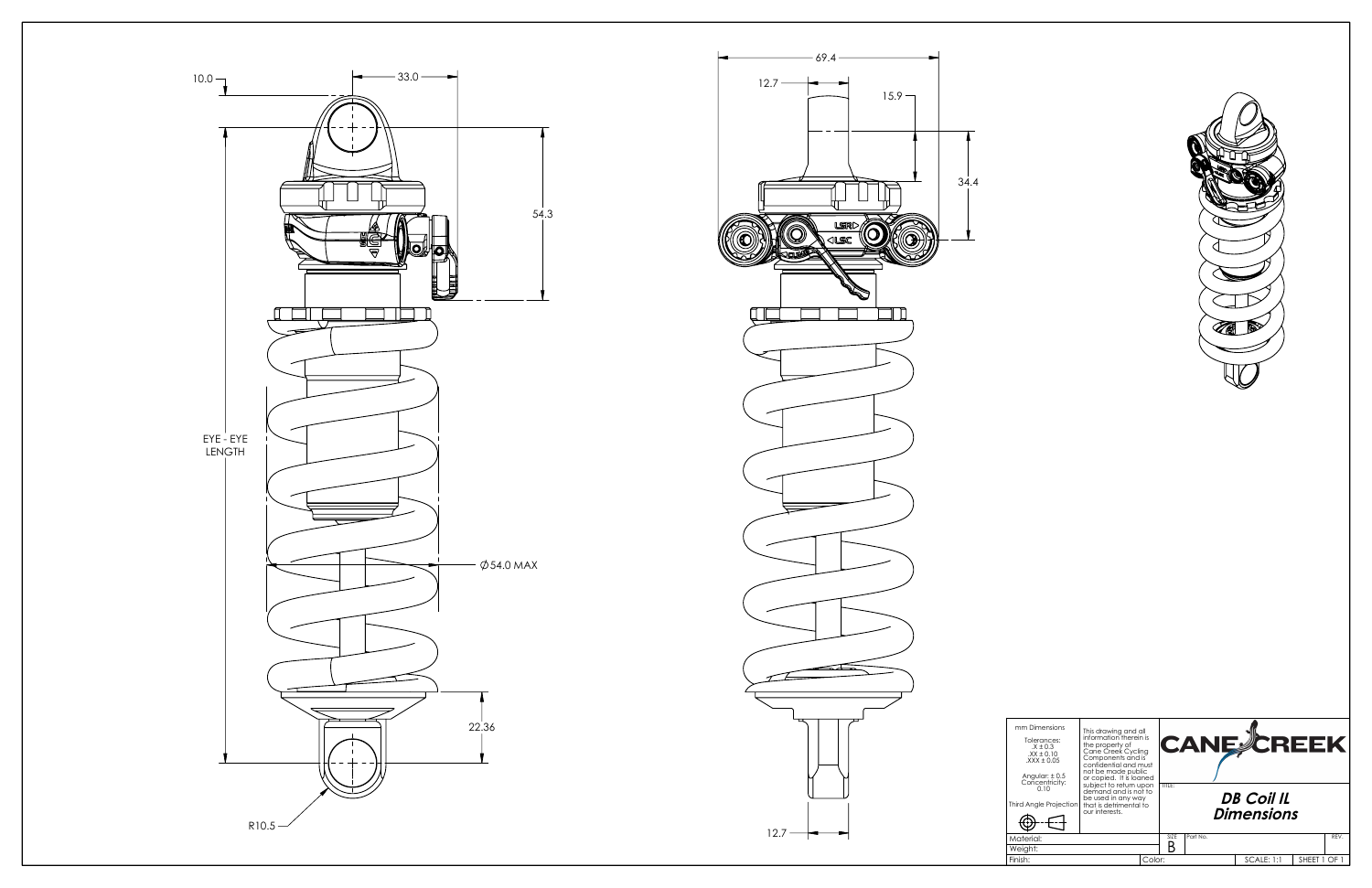





| mm Dimensions<br>Tolerances:<br>$. X \pm 0.3$<br>$XX \pm 0.10$<br>$\text{XXX}$ ± 0.05<br>Angular: $\pm 0.5$ | This drawing and all<br>information therein is<br>the property of<br>Cane Creek Cycling<br>Components and is<br>confidential and must<br>not be made public<br>or copied. It is loaned |        | <b>CANE CREEK</b> |          |  |                   |            |      |  |
|-------------------------------------------------------------------------------------------------------------|----------------------------------------------------------------------------------------------------------------------------------------------------------------------------------------|--------|-------------------|----------|--|-------------------|------------|------|--|
| Concentricity:<br>0.10<br>Third Angle Projection                                                            | subject to return upon<br>demand and is not to<br>be used in any way<br>that is detrimental to                                                                                         |        | TITLE:            |          |  | <b>DB Coil IL</b> |            |      |  |
|                                                                                                             | our interests.                                                                                                                                                                         |        | <b>Dimensions</b> |          |  |                   |            |      |  |
| Material:                                                                                                   |                                                                                                                                                                                        |        | SIZE              | Part No. |  |                   |            | REV. |  |
| Weight:                                                                                                     |                                                                                                                                                                                        |        |                   |          |  |                   |            |      |  |
| Finish:                                                                                                     |                                                                                                                                                                                        | Color: |                   |          |  | <b>SCALE: 1:1</b> | SHEET 1 OF |      |  |